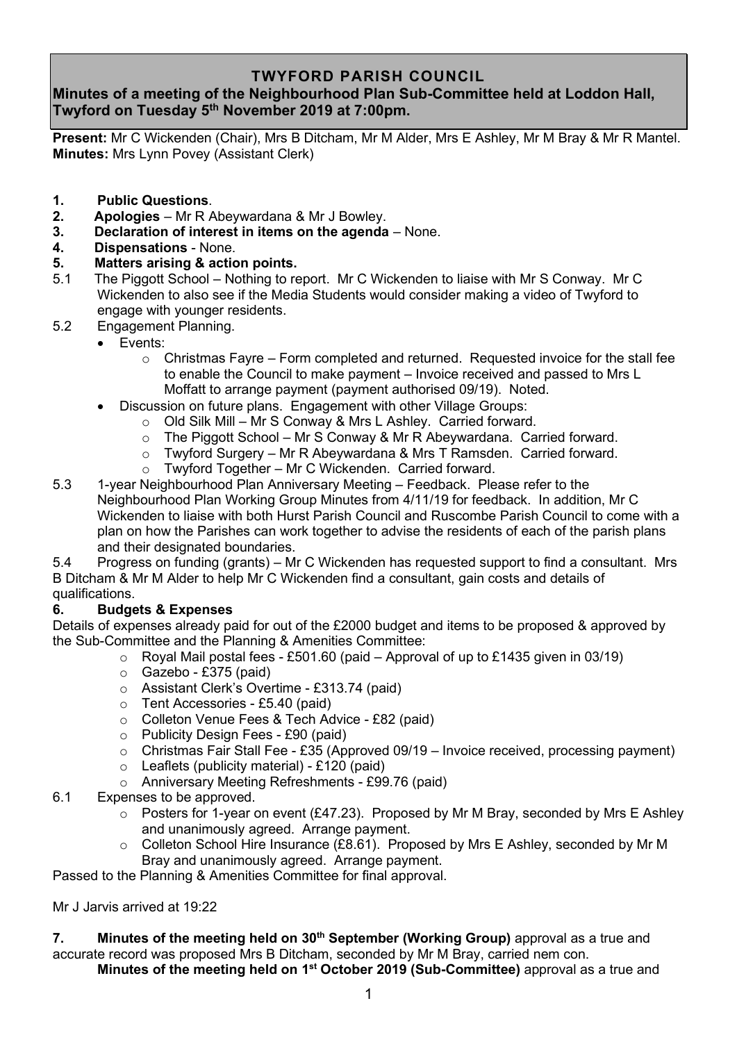## **TWYFORD PARISH COUNCIL**

# **Minutes of a meeting of the Neighbourhood Plan Sub-Committee held at Loddon Hall, Twyford on Tuesday 5 th November 2019 at 7:00pm.**

**Present:** Mr C Wickenden (Chair), Mrs B Ditcham, Mr M Alder, Mrs E Ashley, Mr M Bray & Mr R Mantel. **Minutes:** Mrs Lynn Povey (Assistant Clerk)

- **1. Public Questions**.
- **2. Apologies** Mr R Abeywardana & Mr J Bowley.
- **3. Declaration of interest in items on the agenda** None.
- **4. Dispensations** None.

### **5. Matters arising & action points.**

- 5.1 The Piggott School Nothing to report. Mr C Wickenden to liaise with Mr S Conway. Mr C Wickenden to also see if the Media Students would consider making a video of Twyford to engage with younger residents.
- 5.2 Engagement Planning.
	- Events:
		- $\circ$  Christmas Fayre Form completed and returned. Requested invoice for the stall fee to enable the Council to make payment – Invoice received and passed to Mrs L Moffatt to arrange payment (payment authorised 09/19). Noted.
		- Discussion on future plans. Engagement with other Village Groups:
			- o Old Silk Mill Mr S Conway & Mrs L Ashley. Carried forward.
			- o The Piggott School Mr S Conway & Mr R Abeywardana. Carried forward.
			- o Twyford Surgery Mr R Abeywardana & Mrs T Ramsden. Carried forward.
			- o Twyford Together Mr C Wickenden. Carried forward.
- 5.3 1-year Neighbourhood Plan Anniversary Meeting Feedback. Please refer to the Neighbourhood Plan Working Group Minutes from 4/11/19 for feedback. In addition, Mr C Wickenden to liaise with both Hurst Parish Council and Ruscombe Parish Council to come with a plan on how the Parishes can work together to advise the residents of each of the parish plans and their designated boundaries.

5.4 Progress on funding (grants) – Mr C Wickenden has requested support to find a consultant. Mrs B Ditcham & Mr M Alder to help Mr C Wickenden find a consultant, gain costs and details of qualifications.

## **6. Budgets & Expenses**

Details of expenses already paid for out of the £2000 budget and items to be proposed & approved by the Sub-Committee and the Planning & Amenities Committee:

- $\circ$  Royal Mail postal fees £501.60 (paid Approval of up to £1435 given in 03/19)
- $\circ$  Gazebo £375 (paid)
- o Assistant Clerk's Overtime £313.74 (paid)
- o Tent Accessories £5.40 (paid)
- o Colleton Venue Fees & Tech Advice £82 (paid)
- o Publicity Design Fees £90 (paid)
- $\circ$  Christmas Fair Stall Fee £35 (Approved 09/19 Invoice received, processing payment)
- $\circ$  Leaflets (publicity material) £120 (paid)
- o Anniversary Meeting Refreshments £99.76 (paid)

#### 6.1 Expenses to be approved.

- $\circ$  Posters for 1-year on event (£47.23). Proposed by Mr M Bray, seconded by Mrs E Ashley and unanimously agreed. Arrange payment.
- $\circ$  Colleton School Hire Insurance (£8.61). Proposed by Mrs E Ashley, seconded by Mr M Bray and unanimously agreed. Arrange payment.

Passed to the Planning & Amenities Committee for final approval.

Mr J Jarvis arrived at 19:22

### **7. Minutes of the meeting held on 30th September (Working Group)** approval as a true and accurate record was proposed Mrs B Ditcham, seconded by Mr M Bray, carried nem con.

**Minutes of the meeting held on 1<sup>st</sup> October 2019 (Sub-Committee)** approval as a true and